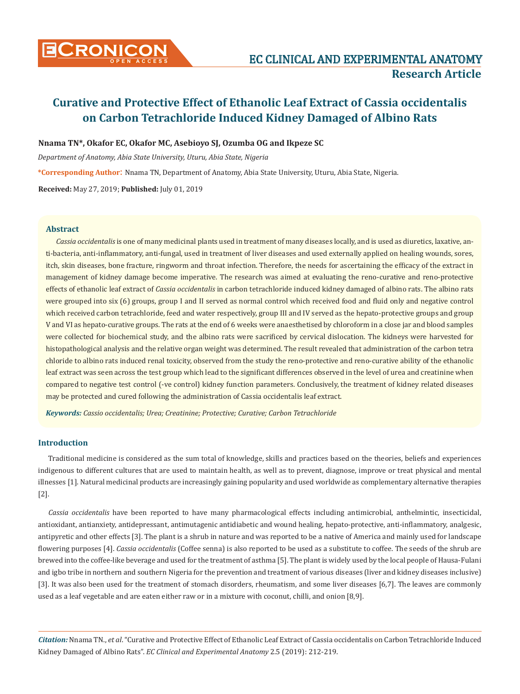

**Nnama TN\*, Okafor EC, Okafor MC, Asebioyo SJ, Ozumba OG and Ikpeze SC** 

*Department of Anatomy, Abia State University, Uturu, Abia State, Nigeria*

**\*Corresponding Author**: Nnama TN, Department of Anatomy, Abia State University, Uturu, Abia State, Nigeria.

**Received:** May 27, 2019; **Published:** July 01, 2019

## **Abstract**

*Cassia occidentalis* is one of many medicinal plants used in treatment of many diseases locally, and is used as diuretics, laxative, anti-bacteria, anti-inflammatory, anti-fungal, used in treatment of liver diseases and used externally applied on healing wounds, sores, itch, skin diseases, bone fracture, ringworm and throat infection. Therefore, the needs for ascertaining the efficacy of the extract in management of kidney damage become imperative. The research was aimed at evaluating the reno-curative and reno-protective effects of ethanolic leaf extract of *Cassia occidentalis* in carbon tetrachloride induced kidney damaged of albino rats. The albino rats were grouped into six (6) groups, group I and II served as normal control which received food and fluid only and negative control which received carbon tetrachloride, feed and water respectively, group III and IV served as the hepato-protective groups and group V and VI as hepato-curative groups. The rats at the end of 6 weeks were anaesthetised by chloroform in a close jar and blood samples were collected for biochemical study, and the albino rats were sacrificed by cervical dislocation. The kidneys were harvested for histopathological analysis and the relative organ weight was determined. The result revealed that administration of the carbon tetra chloride to albino rats induced renal toxicity, observed from the study the reno-protective and reno-curative ability of the ethanolic leaf extract was seen across the test group which lead to the significant differences observed in the level of urea and creatinine when compared to negative test control (-ve control) kidney function parameters. Conclusively, the treatment of kidney related diseases may be protected and cured following the administration of Cassia occidentalis leaf extract.

*Keywords: Cassio occidentalis; Urea; Creatinine; Protective; Curative; Carbon Tetrachloride*

#### **Introduction**

Traditional medicine is considered as the sum total of knowledge, skills and practices based on the theories, beliefs and experiences indigenous to different cultures that are used to maintain health, as well as to prevent, diagnose, improve or treat physical and mental illnesses [1]. Natural medicinal products are increasingly gaining popularity and used worldwide as complementary alternative therapies [2].

*Cassia occidentalis* have been reported to have many pharmacological effects including antimicrobial, anthelmintic, insecticidal, antioxidant, antianxiety, antidepressant, antimutagenic antidiabetic and wound healing, hepato-protective, anti-inflammatory, analgesic, antipyretic and other effects [3]. The plant is a shrub in nature and was reported to be a native of America and mainly used for landscape flowering purposes [4]. *Cassia occidentalis* (Coffee senna) is also reported to be used as a substitute to coffee. The seeds of the shrub are brewed into the coffee-like beverage and used for the treatment of asthma [5]. The plant is widely used by the local people of Hausa-Fulani and igbo tribe in northern and southern Nigeria for the prevention and treatment of various diseases (liver and kidney diseases inclusive) [3]. It was also been used for the treatment of stomach disorders, rheumatism, and some liver diseases [6,7]. The leaves are commonly used as a leaf vegetable and are eaten either raw or in a mixture with coconut, chilli, and onion [8,9].

*Citation:* Nnama TN., *et al*. "Curative and Protective Effect of Ethanolic Leaf Extract of Cassia occidentalis on Carbon Tetrachloride Induced Kidney Damaged of Albino Rats". *EC Clinical and Experimental Anatomy* 2.5 (2019): 212-219.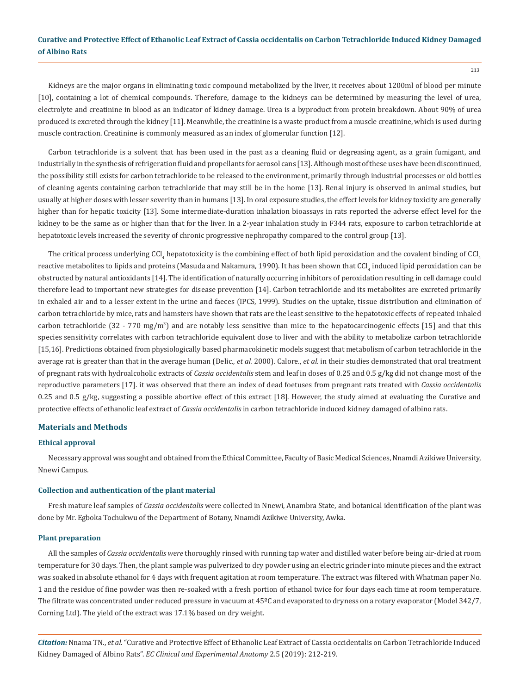Kidneys are the major organs in eliminating toxic compound metabolized by the liver, it receives about 1200ml of blood per minute [10], containing a lot of chemical compounds. Therefore, damage to the kidneys can be determined by measuring the level of urea, electrolyte and creatinine in blood as an indicator of kidney damage. Urea is a byproduct from protein breakdown. About 90% of urea produced is excreted through the kidney [11]*.* Meanwhile, the creatinine is a waste product from a muscle creatinine, which is used during muscle contraction. Creatinine is commonly measured as an index of glomerular function [12].

Carbon tetrachloride is a solvent that has been used in the past as a cleaning fluid or degreasing agent, as a grain fumigant, and industrially in the synthesis of refrigeration fluid and propellants for aerosol cans [13]. Although most of these uses have been discontinued, the possibility still exists for carbon tetrachloride to be released to the environment, primarily through industrial processes or old bottles of cleaning agents containing carbon tetrachloride that may still be in the home [13]. Renal injury is observed in animal studies, but usually at higher doses with lesser severity than in humans [13]. In oral exposure studies, the effect levels for kidney toxicity are generally higher than for hepatic toxicity [13]. Some intermediate-duration inhalation bioassays in rats reported the adverse effect level for the kidney to be the same as or higher than that for the liver. In a 2-year inhalation study in F344 rats, exposure to carbon tetrachloride at hepatotoxic levels increased the severity of chronic progressive nephropathy compared to the control group [13].

The critical process underlying CCl<sub>4</sub> hepatotoxicity is the combining effect of both lipid peroxidation and the covalent binding of CCl<sub>4</sub> reactive metabolites to lipids and proteins (Masuda and Nakamura, 1990). It has been shown that CCl<sub>4</sub> induced lipid peroxidation can be obstructed by natural antioxidants [14]. The identification of naturally occurring inhibitors of peroxidation resulting in cell damage could therefore lead to important new strategies for disease prevention [14]. Carbon tetrachloride and its metabolites are excreted primarily in exhaled air and to a lesser extent in the urine and faeces (IPCS, 1999). Studies on the uptake, tissue distribution and elimination of carbon tetrachloride by mice, rats and hamsters have shown that rats are the least sensitive to the hepatotoxic effects of repeated inhaled carbon tetrachloride (32 - 770 mg/m<sup>3</sup>) and are notably less sensitive than mice to the hepatocarcinogenic effects [15] and that this species sensitivity correlates with carbon tetrachloride equivalent dose to liver and with the ability to metabolize carbon tetrachloride [15,16]. Predictions obtained from physiologically based pharmacokinetic models suggest that metabolism of carbon tetrachloride in the average rat is greater than that in the average human (Delic., *et al.* 2000). Calore., *et al.* in their studies demonstrated that oral treatment of pregnant rats with hydroalcoholic extracts of *Cassia occidentalis* stem and leaf in doses of 0.25 and 0.5 g/kg did not change most of the reproductive parameters [17]. it was observed that there an index of dead foetuses from pregnant rats treated with *Cassia occidentalis*  0.25 and 0.5 g/kg, suggesting a possible abortive effect of this extract [18]. However, the study aimed at evaluating the Curative and protective effects of ethanolic leaf extract of *Cassia occidentalis* in carbon tetrachloride induced kidney damaged of albino rats.

#### **Materials and Methods**

#### **Ethical approval**

Necessary approval was sought and obtained from the Ethical Committee, Faculty of Basic Medical Sciences, Nnamdi Azikiwe University, Nnewi Campus.

## **Collection and authentication of the plant material**

Fresh mature leaf samples of *Cassia occidentalis* were collected in Nnewi, Anambra State, and botanical identification of the plant was done by Mr. Egboka Tochukwu of the Department of Botany, Nnamdi Azikiwe University, Awka.

#### **Plant preparation**

All the samples of *Cassia occidentalis were* thoroughly rinsed with running tap water and distilled water before being air-dried at room temperature for 30 days. Then, the plant sample was pulverized to dry powder using an electric grinder into minute pieces and the extract was soaked in absolute ethanol for 4 days with frequent agitation at room temperature. The extract was filtered with Whatman paper No. 1 and the residue of fine powder was then re-soaked with a fresh portion of ethanol twice for four days each time at room temperature. The filtrate was concentrated under reduced pressure in vacuum at 45<sup>o</sup>C and evaporated to dryness on a rotary evaporator (Model 342/7, Corning Ltd). The yield of the extract was 17.1% based on dry weight.

*Citation:* Nnama TN., *et al*. "Curative and Protective Effect of Ethanolic Leaf Extract of Cassia occidentalis on Carbon Tetrachloride Induced Kidney Damaged of Albino Rats". *EC Clinical and Experimental Anatomy* 2.5 (2019): 212-219.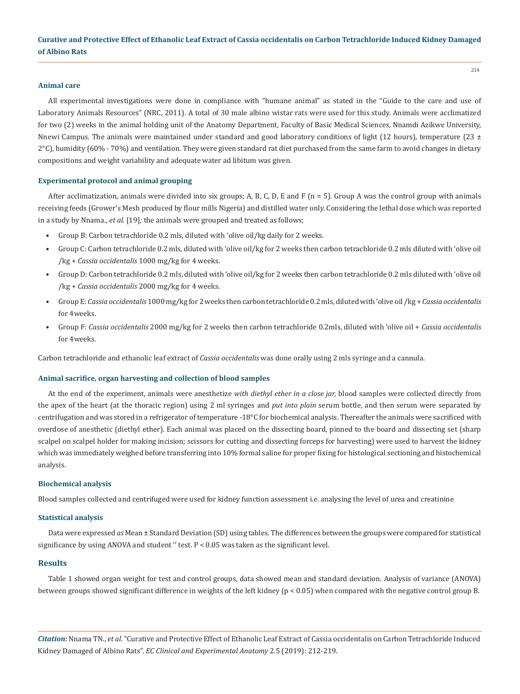#### **Animal care**

All experimental investigations were done in compliance with "humane animal" as stated in the "Guide to the care and use of Laboratory Animals Resources" (NRC, 2011). A total of 30 male albino wistar rats were used for this study. Animals were acclimatized for two (2) weeks in the animal holding unit of the Anatomy Department, Faculty of Basic Medical Sciences, Nnamdi Azikwe University, Nnewi Campus. The animals were maintained under standard and good laboratory conditions of light (12 hours), temperature (23  $\pm$ 2°C), humidity (60% - 70%) and ventilation. They were given standard rat diet purchased from the same farm to avoid changes in dietary compositions and weight variability and adequate water ad libitum was given.

#### **Experimental protocol and animal grouping**

After acclimatization, animals were divided into six groups; A, B, C, D, E and F ( $n = 5$ ). Group A was the control group with animals receiving feeds (Grower's Mesh produced by flour mills Nigeria) and distilled water only. Considering the lethal dose which was reported in a study by Nnama., *et al.* [19]*;* the animals were grouped and treated as follows;

- Group B: Carbon tetrachloride 0.2 mls, diluted with 'olive oil/kg daily for 2 weeks.
- Group C: Carbon tetrachloride 0.2 mls, diluted with 'olive oil/kg for 2 weeks then carbon tetrachloride 0.2 mls diluted with 'olive oil /kg + *Cassia occidentalis* 1000 mg/kg for 4 weeks.
- Group D: Carbon tetrachloride 0.2 mls, diluted with 'olive oil/kg for 2 weeks then carbon tetrachloride 0.2 mls diluted with 'olive oil /kg + *Cassia occidentalis* 2000 mg/kg for 4 weeks.
- Group E: *Cassia occidentalis* 1000 mg/kg for 2 weeks then carbon tetrachloride 0.2 mls, diluted with 'olive oil /kg + *Cassia occidentalis* for 4weeks.
- Group F: *Cassia occidentalis* 2000 mg/kg for 2 weeks then carbon tetrachloride 0.2mls, diluted with 'olive oil + *Cassia occidentalis* for 4weeks.

Carbon tetrachloride and ethanolic leaf extract of *Cassia occidentalis* was done orally using 2 mls syringe and a cannula.

#### **Animal sacrifice, organ harvesting and collection of blood samples**

At the end of the experiment, animals were anesthetize *with diethyl ether in a close jar,* blood samples were collected directly from the apex of the heart (at the thoracic region) using 2 ml syringes and *put into plain* serum bottle, and then serum were separated by centrifugation and was stored in a refrigerator of temperature -18°C for biochemical analysis. Thereafter the animals were sacrificed with overdose of anesthetic (diethyl ether). Each animal was placed on the dissecting board, pinned to the board and dissecting set (sharp scalpel on scalpel holder for making incision; scissors for cutting and dissecting forceps for harvesting) were used to harvest the kidney which was immediately weighed before transferring into 10% formal saline for proper fixing for histological sectioning and histochemical analysis.

#### **Biochemical analysis**

Blood samples collected and centrifuged were used for kidney function assessment i.e. analysing the level of urea and creatinine

#### **Statistical analysis**

Data were expressed *as* Mean ± Standard Deviation (SD) using tables. The differences between the groups were compared for statistical significance by using ANOVA and student " test.  $P < 0.05$  was taken as the significant level.

#### **Results**

Table 1 showed organ weight for test and control groups, data showed mean and standard deviation. Analysis of variance (ANOVA) between groups showed significant difference in weights of the left kidney (p < 0.05) when compared with the negative control group B.

*Citation:* Nnama TN., *et al*. "Curative and Protective Effect of Ethanolic Leaf Extract of Cassia occidentalis on Carbon Tetrachloride Induced Kidney Damaged of Albino Rats". *EC Clinical and Experimental Anatomy* 2.5 (2019): 212-219.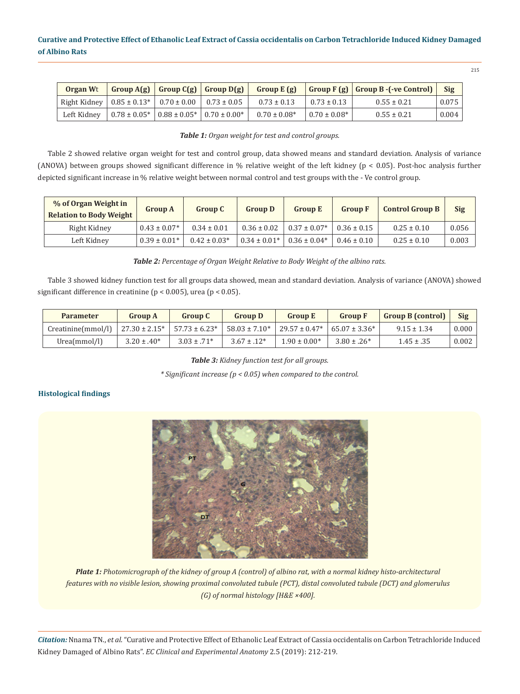| <b>Organ Wt</b>                                                      |                                                                           |  |                   |                   | $\mid$ Group A(g) $\mid$ Group C(g) $\mid$ Group D(g) $\mid$ Group E (g) $\mid$ Group F (g) $\mid$ Group B -(-ve Control) $\mid$ Sig |       |
|----------------------------------------------------------------------|---------------------------------------------------------------------------|--|-------------------|-------------------|--------------------------------------------------------------------------------------------------------------------------------------|-------|
| Right Kidney   $0.85 \pm 0.13$ *   $0.70 \pm 0.00$   $0.73 \pm 0.05$ |                                                                           |  | $0.73 \pm 0.13$   | $0.73 \pm 0.13$   | $0.55 \pm 0.21$                                                                                                                      | 0.075 |
| Left Kidney                                                          | $\vert 0.78 \pm 0.05^* \vert 0.88 \pm 0.05^* \vert 0.70 \pm 0.00^* \vert$ |  | $0.70 \pm 0.08^*$ | $0.70 \pm 0.08^*$ | $0.55 \pm 0.21$                                                                                                                      | 0.004 |

## *Table 1: Organ weight for test and control groups.*

Table 2 showed relative organ weight for test and control group, data showed means and standard deviation. Analysis of variance (ANOVA) between groups showed significant difference in % relative weight of the left kidney (p < 0.05). Post-hoc analysis further depicted significant increase in % relative weight between normal control and test groups with the - Ve control group.

| % of Organ Weight in<br><b>Relation to Body Weight</b> | <b>Group A</b>   | <b>Group C</b>   | <b>Group D</b>   | <b>Group E</b>   | <b>Group F</b>  | <b>Control Group B</b> | <b>Sig</b> |
|--------------------------------------------------------|------------------|------------------|------------------|------------------|-----------------|------------------------|------------|
| Right Kidney                                           | $0.43 \pm 0.07*$ | $0.34 \pm 0.01$  | $0.36 \pm 0.02$  | $0.37 \pm 0.07*$ | $0.36 \pm 0.15$ | $0.25 \pm 0.10$        | 0.056      |
| Left Kidney                                            | $0.39 \pm 0.01*$ | $0.42 \pm 0.03*$ | $0.34 \pm 0.01*$ | $0.36 \pm 0.04*$ | $0.46 \pm 0.10$ | $0.25 \pm 0.10$        | 0.003      |

*Table 2: Percentage of Organ Weight Relative to Body Weight of the albino rats.*

Table 3 showed kidney function test for all groups data showed, mean and standard deviation. Analysis of variance (ANOVA) showed significant difference in creatinine (p < 0.005), urea (p < 0.05).

| <b>Parameter</b>   | <b>Group A</b>     | <b>Group C</b>     | <b>Group D</b>    | <b>Group E</b>                        | <b>Group F</b>   | <b>Group B (control)</b> | Sig   |
|--------------------|--------------------|--------------------|-------------------|---------------------------------------|------------------|--------------------------|-------|
| Creatinine(mmol/l) | $27.30 \pm 2.15^*$ | $57.73 \pm 6.23^*$ | $58.03 \pm 7.10*$ | $29.57 \pm 0.47^*$ 65.07 $\pm 3.36^*$ |                  | $9.15 \pm 1.34$          | 0.000 |
| Urea(mmol/l)       | $3.20 \pm .40^*$   | $3.03 \pm .71*$    | $3.67 \pm .12^*$  | $1.90 \pm 0.00*$                      | $3.80 \pm .26^*$ | $1.45 \pm .35$           | 0.002 |

*Table 3: Kidney function test for all groups.*

*\* Significant increase (p < 0.05) when compared to the control.*

## **Histological findings**



*Plate 1: Photomicrograph of the kidney of group A (control) of albino rat, with a normal kidney histo-architectural features with no visible lesion, showing proximal convoluted tubule (PCT), distal convoluted tubule (DCT) and glomerulus (G) of normal histology [H&E ×400].*

*Citation:* Nnama TN., *et al*. "Curative and Protective Effect of Ethanolic Leaf Extract of Cassia occidentalis on Carbon Tetrachloride Induced Kidney Damaged of Albino Rats". *EC Clinical and Experimental Anatomy* 2.5 (2019): 212-219.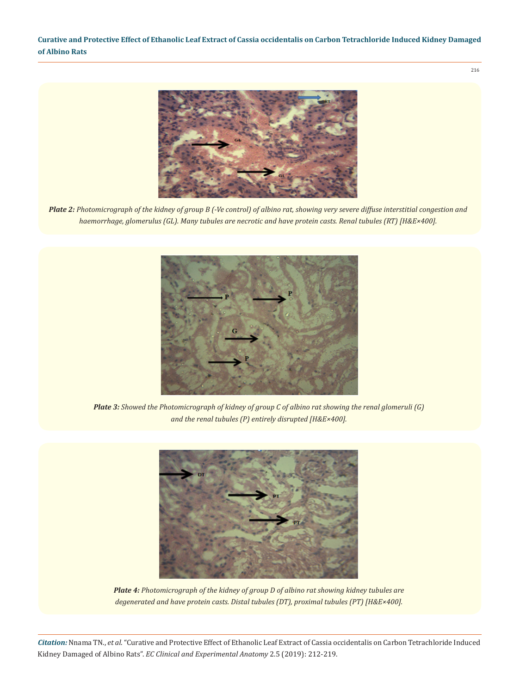216



*Plate 2: Photomicrograph of the kidney of group B (-Ve control) of albino rat, showing very severe diffuse interstitial congestion and haemorrhage, glomerulus (GL). Many tubules are necrotic and have protein casts. Renal tubules (RT) [H&E×400].*



*Plate 3: Showed the Photomicrograph of kidney of group C of albino rat showing the renal glomeruli (G) and the renal tubules (P) entirely disrupted [H&E×400].*



*Plate 4: Photomicrograph of the kidney of group D of albino rat showing kidney tubules are degenerated and have protein casts. Distal tubules (DT), proximal tubules (PT) [H&E×400].*

*Citation:* Nnama TN., *et al*. "Curative and Protective Effect of Ethanolic Leaf Extract of Cassia occidentalis on Carbon Tetrachloride Induced Kidney Damaged of Albino Rats". *EC Clinical and Experimental Anatomy* 2.5 (2019): 212-219.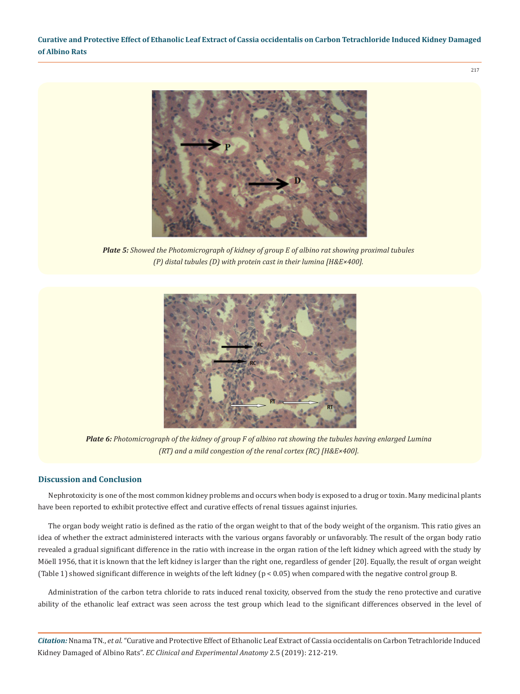

*Plate 5: Showed the Photomicrograph of kidney of group E of albino rat showing proximal tubules (P) distal tubules (D) with protein cast in their lumina [H&E×400].*



*Plate 6: Photomicrograph of the kidney of group F of albino rat showing the tubules having enlarged Lumina (RT) and a mild congestion of the renal cortex (RC) [H&E×400].*

## **Discussion and Conclusion**

Nephrotoxicity is one of the most common kidney problems and occurs when body is exposed to a drug or toxin. Many medicinal plants have been reported to exhibit protective effect and curative effects of renal tissues against injuries.

The organ body weight ratio is defined as the ratio of the organ weight to that of the body weight of the organism. This ratio gives an idea of whether the extract administered interacts with the various organs favorably or unfavorably. The result of the organ body ratio revealed a gradual significant difference in the ratio with increase in the organ ration of the left kidney which agreed with the study by [Möell 1956](http://www.scielo.br/scielo.php?script=sci_arttext&pid=S0102-09352016000501137#B16), that it is known that the left kidney is larger than the right one, regardless of gender [20]. Equally, the result of organ weight (Table 1) showed significant difference in weights of the left kidney (p < 0.05) when compared with the negative control group B.

Administration of the carbon tetra chloride to rats induced renal toxicity, observed from the study the reno protective and curative ability of the ethanolic leaf extract was seen across the test group which lead to the significant differences observed in the level of

*Citation:* Nnama TN., *et al*. "Curative and Protective Effect of Ethanolic Leaf Extract of Cassia occidentalis on Carbon Tetrachloride Induced Kidney Damaged of Albino Rats". *EC Clinical and Experimental Anatomy* 2.5 (2019): 212-219.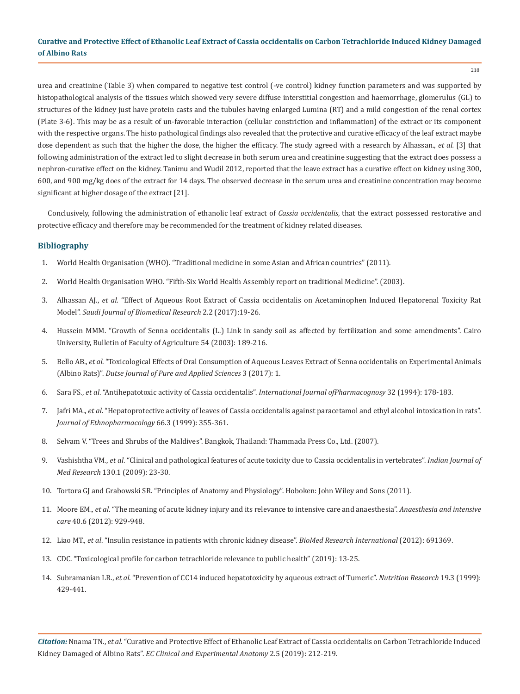218

urea and creatinine (Table 3) when compared to negative test control (-ve control) kidney function parameters and was supported by histopathological analysis of the tissues which showed very severe diffuse interstitial congestion and haemorrhage, glomerulus (GL) to structures of the kidney just have protein casts and the tubules having enlarged Lumina (RT) and a mild congestion of the renal cortex (Plate 3-6). This may be as a result of un-favorable interaction (cellular constriction and inflammation) of the extract or its component with the respective organs. The histo pathological findings also revealed that the protective and curative efficacy of the leaf extract maybe dose dependent as such that the higher the dose, the higher the efficacy. The study agreed with a research by Alhassan., *et al.* [3] that following administration of the extract led to slight decrease in both serum urea and creatinine suggesting that the extract does possess a nephron-curative effect on the kidney. Tanimu and Wudil 2012, reported that the leave extract has a curative effect on kidney using 300, 600, and 900 mg/kg does of the extract for 14 days. The observed decrease in the serum urea and creatinine concentration may become significant at higher dosage of the extract [21].

Conclusively, following the administration of ethanolic leaf extract of *Cassia occidentalis*, that the extract possessed restorative and protective efficacy and therefore may be recommended for the treatment of kidney related diseases.

## **Bibliography**

- 1. World Health Organisation (WHO). "Traditional medicine in some Asian and African countries" (2011).
- 2. World Health Organisation WHO. "Fifth-Six World Health Assembly report on traditional Medicine". (2003).
- 3. Alhassan AJ., *et al*[. "Effect of Aqueous Root Extract of Cassia occidentalis on Acetaminophen Induced Hepatorenal Toxicity Rat](https://www.researchgate.net/publication/316788826_Effect_of_Aqueous_Root_Extract_of_Cassia_occidentalis_on_Acetaminophen_Induced_Hepatorenal_Toxicity_Rat_Model)  Model". *[Saudi Journal of Biomedical Research](https://www.researchgate.net/publication/316788826_Effect_of_Aqueous_Root_Extract_of_Cassia_occidentalis_on_Acetaminophen_Induced_Hepatorenal_Toxicity_Rat_Model)* 2.2 (2017):19-26.
- 4. Hussein MMM. "Growth of Senna occidentalis (L.) Link in sandy soil as affected by fertilization and some amendments". Cairo University, Bulletin of Faculty of Agriculture 54 (2003): 189-216.
- 5. Bello AB., *et al*. "Toxicological Effects of Oral Consumption of Aqueous Leaves Extract of Senna occidentalis on Experimental Animals (Albino Rats)". *Dutse Journal of Pure and Applied Sciences* 3 (2017): 1.
- 6. Sara FS., *et al*[. "Antihepatotoxic activity of Cassia occidentalis".](https://www.tandfonline.com/doi/abs/10.3109/13880209409082990) *International Journal ofPharmacognosy* 32 (1994): 178-183.
- 7. Jafri MA., *et al*[. "Hepatoprotective activity of leaves of Cassia occidentalis against paracetamol and ethyl alcohol intoxication in rats".](https://www.ncbi.nlm.nih.gov/pubmed/10473185)  *[Journal of Ethnopharmacology](https://www.ncbi.nlm.nih.gov/pubmed/10473185)* 66.3 (1999): 355-361.
- 8. Selvam V. "Trees and Shrubs of the Maldives". Bangkok, Thailand: Thammada Press Co., Ltd. (2007).
- 9. Vashishtha VM., *et al*[. "Clinical and pathological features of acute toxicity due to Cassia occidentalis in vertebrates".](https://www.ncbi.nlm.nih.gov/pubmed/19700797) *Indian Journal of Med Research* [130.1 \(2009\): 23-30.](https://www.ncbi.nlm.nih.gov/pubmed/19700797)
- 10. Tortora GJ and Grabowski SR. "Principles of Anatomy and Physiology". Hoboken: John Wiley and Sons (2011).
- 11. Moore EM., *et al*[. "The meaning of acute kidney injury and its relevance to intensive care and anaesthesia".](https://www.ncbi.nlm.nih.gov/pubmed/23194202) *Anaesthesia and intensive care* [40.6 \(2012\): 929-948.](https://www.ncbi.nlm.nih.gov/pubmed/23194202)
- 12. Liao MT., *et al*[. "Insulin resistance in patients with chronic kidney disease".](https://www.ncbi.nlm.nih.gov/pmc/articles/PMC3420350/) *BioMed Research International* (2012): 691369.
- 13. [CDC. "Toxicological profile for carbon tetrachloride relevance to public health" \(2019\): 13-25.](https://www.atsdr.cdc.gov/toxprofiledocs/index.html)
- 14. Subramanian LR., *et al*[. "Prevention of CC14 induced hepatotoxicity by aqueous extract of Tumeric".](https://www.sciencedirect.com/science/article/pii/S0271531799000111) *Nutrition Research* 19.3 (1999): [429-441.](https://www.sciencedirect.com/science/article/pii/S0271531799000111)

*Citation:* Nnama TN., *et al*. "Curative and Protective Effect of Ethanolic Leaf Extract of Cassia occidentalis on Carbon Tetrachloride Induced Kidney Damaged of Albino Rats". *EC Clinical and Experimental Anatomy* 2.5 (2019): 212-219.